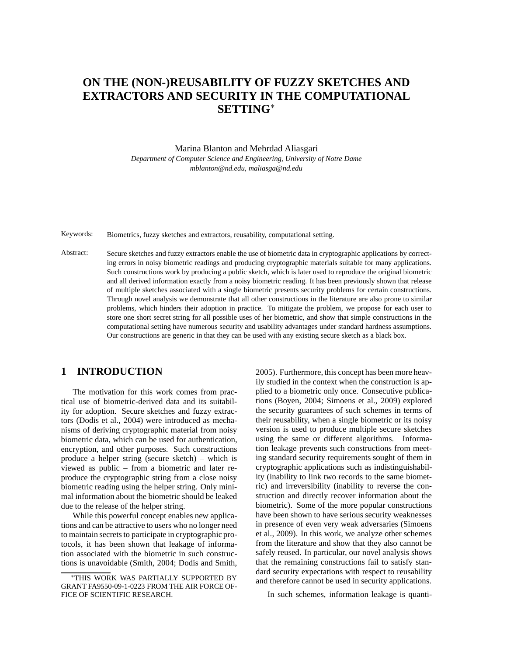# **ON THE (NON-)REUSABILITY OF FUZZY SKETCHES AND EXTRACTORS AND SECURITY IN THE COMPUTATIONAL SETTING**<sup>∗</sup>

Marina Blanton and Mehrdad Aliasgari

*Department of Computer Science and Engineering, University of Notre Dame mblanton@nd.edu, maliasga@nd.edu*

Keywords: Biometrics, fuzzy sketches and extractors, reusability, computational setting.

Abstract: Secure sketches and fuzzy extractors enable the use of biometric data in cryptographic applications by correcting errors in noisy biometric readings and producing cryptographic materials suitable for many applications. Such constructions work by producing a public sketch, which is later used to reproduce the original biometric and all derived information exactly from a noisy biometric reading. It has been previously shown that release of multiple sketches associated with a single biometric presents security problems for certain constructions. Through novel analysis we demonstrate that all other constructions in the literature are also prone to similar problems, which hinders their adoption in practice. To mitigate the problem, we propose for each user to store one short secret string for all possible uses of her biometric, and show that simple constructions in the computational setting have numerous security and usability advantages under standard hardness assumptions. Our constructions are generic in that they can be used with any existing secure sketch as a black box.

## **1 INTRODUCTION**

The motivation for this work comes from practical use of biometric-derived data and its suitability for adoption. Secure sketches and fuzzy extractors (Dodis et al., 2004) were introduced as mechanisms of deriving cryptographic material from noisy biometric data, which can be used for authentication, encryption, and other purposes. Such constructions produce a helper string (secure sketch) – which is viewed as public – from a biometric and later reproduce the cryptographic string from a close noisy biometric reading using the helper string. Only minimal information about the biometric should be leaked due to the release of the helper string.

While this powerful concept enables new applications and can be attractive to users who no longer need to maintain secrets to participate in cryptographic protocols, it has been shown that leakage of information associated with the biometric in such constructions is unavoidable (Smith, 2004; Dodis and Smith, 2005). Furthermore, this concept has been more heavily studied in the context when the construction is applied to a biometric only once. Consecutive publications (Boyen, 2004; Simoens et al., 2009) explored the security guarantees of such schemes in terms of their reusability, when a single biometric or its noisy version is used to produce multiple secure sketches using the same or different algorithms. Information leakage prevents such constructions from meeting standard security requirements sought of them in cryptographic applications such as indistinguishability (inability to link two records to the same biometric) and irreversibility (inability to reverse the construction and directly recover information about the biometric). Some of the more popular constructions have been shown to have serious security weaknesses in presence of even very weak adversaries (Simoens et al., 2009). In this work, we analyze other schemes from the literature and show that they also cannot be safely reused. In particular, our novel analysis shows that the remaining constructions fail to satisfy standard security expectations with respect to reusability and therefore cannot be used in security applications.

In such schemes, information leakage is quanti-

<sup>∗</sup>THIS WORK WAS PARTIALLY SUPPORTED BY GRANT FA9550-09-1-0223 FROM THE AIR FORCE OF-FICE OF SCIENTIFIC RESEARCH.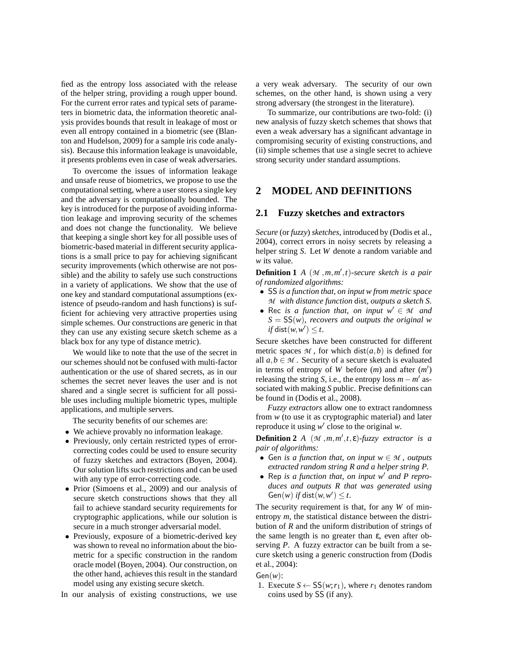fied as the entropy loss associated with the release of the helper string, providing a rough upper bound. For the current error rates and typical sets of parameters in biometric data, the information theoretic analysis provides bounds that result in leakage of most or even all entropy contained in a biometric (see (Blanton and Hudelson, 2009) for a sample iris code analysis). Because this information leakage is unavoidable, it presents problems even in case of weak adversaries.

To overcome the issues of information leakage and unsafe reuse of biometrics, we propose to use the computational setting, where a user stores a single key and the adversary is computationally bounded. The key is introduced for the purpose of avoiding information leakage and improving security of the schemes and does not change the functionality. We believe that keeping a single short key for all possible uses of biometric-based material in different security applications is a small price to pay for achieving significant security improvements (which otherwise are not possible) and the ability to safely use such constructions in a variety of applications. We show that the use of one key and standard computational assumptions (existence of pseudo-random and hash functions) is sufficient for achieving very attractive properties using simple schemes. Our constructions are generic in that they can use any existing secure sketch scheme as a black box for any type of distance metric).

We would like to note that the use of the secret in our schemes should not be confused with multi-factor authentication or the use of shared secrets, as in our schemes the secret never leaves the user and is not shared and a single secret is sufficient for all possible uses including multiple biometric types, multiple applications, and multiple servers.

The security benefits of our schemes are:

- We achieve provably no information leakage.
- Previously, only certain restricted types of errorcorrecting codes could be used to ensure security of fuzzy sketches and extractors (Boyen, 2004). Our solution lifts such restrictions and can be used with any type of error-correcting code.
- Prior (Simoens et al., 2009) and our analysis of secure sketch constructions shows that they all fail to achieve standard security requirements for cryptographic applications, while our solution is secure in a much stronger adversarial model.
- Previously, exposure of a biometric-derived key was shown to reveal no information about the biometric for a specific construction in the random oracle model (Boyen, 2004). Our construction, on the other hand, achieves this result in the standard model using any existing secure sketch.

In our analysis of existing constructions, we use

a very weak adversary. The security of our own schemes, on the other hand, is shown using a very strong adversary (the strongest in the literature).

To summarize, our contributions are two-fold: (i) new analysis of fuzzy sketch schemes that shows that even a weak adversary has a significant advantage in compromising security of existing constructions, and (ii) simple schemes that use a single secret to achieve strong security under standard assumptions.

## **2 MODEL AND DEFINITIONS**

#### **2.1 Fuzzy sketches and extractors**

*Secure* (or *fuzzy*) *sketches*, introduced by (Dodis et al., 2004), correct errors in noisy secrets by releasing a helper string *S*. Let *W* denote a random variable and *w* its value.

**Definition 1** *A* (*M* ,*m*,*m* ′ ,*t*)*-secure sketch is a pair of randomized algorithms:*

- SS *is a function that, on input w from metric space M with distance function* dist*, outputs a sketch S.*
- Rec *is a function that, on input*  $w' \in M$  *and S* = SS(*w*)*, recovers and outputs the original w if* dist $(w, w') \leq t$ .

Secure sketches have been constructed for different metric spaces  $M$ , for which dist $(a, b)$  is defined for all  $a, b \in M$ . Security of a secure sketch is evaluated in terms of entropy of *W* before  $(m)$  and after  $(m')$ releasing the string *S*, i.e., the entropy loss  $m - m'$  associated with making *S* public. Precise definitions can be found in (Dodis et al., 2008).

*Fuzzy extractors* allow one to extract randomness from *w* (to use it as cryptographic material) and later reproduce it using *w* ′ close to the original *w*.

**Definition 2** *A*  $(\mathcal{M}, m, m', t, \varepsilon)$ *-fuzzy extractor is a pair of algorithms:*

- Gen *is a function that, on input*  $w \in M$ *, outputs extracted random string R and a helper string P.*
- Rep *is a function that, on input w*′ *and P reproduces and outputs R that was generated using*  $Gen(w)$  *if* dist $(w, w') \leq t$ .

The security requirement is that, for any *W* of minentropy *m*, the statistical distance between the distribution of *R* and the uniform distribution of strings of the same length is no greater than  $ε$ , even after observing *P*. A fuzzy extractor can be built from a secure sketch using a generic construction from (Dodis et al., 2004):

#### Gen(*w*):

1. Execute  $S \leftarrow SS(w; r_1)$ , where  $r_1$  denotes random coins used by SS (if any).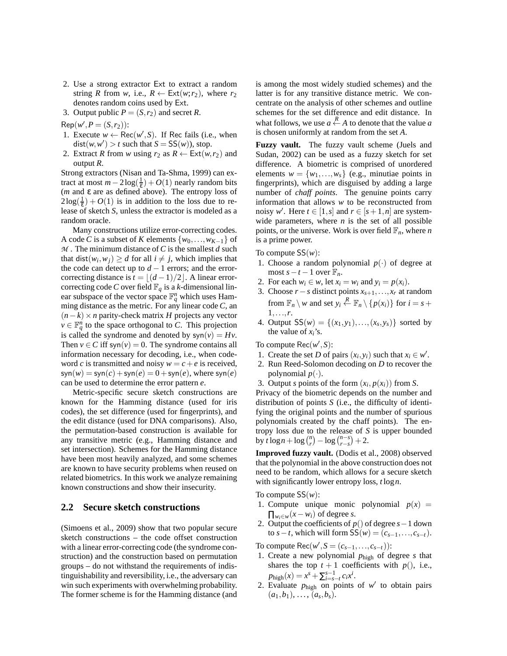- 2. Use a strong extractor Ext to extract a random string *R* from *w*, i.e.,  $R \leftarrow \text{Ext}(w; r_2)$ , where  $r_2$ denotes random coins used by Ext.
- 3. Output public  $P = (S, r_2)$  and secret *R*.

 $Rep(w', P = (S, r_2))$ :

- 1. Execute  $w \leftarrow \text{Rec}(w', S)$ . If Rec fails (i.e., when  $dist(w, w') > t$  such that  $S = SS(w)$ , stop.
- 2. Extract *R* from *w* using  $r_2$  as  $R \leftarrow \text{Ext}(w, r_2)$  and output *R*.

Strong extractors (Nisan and Ta-Shma, 1999) can extract at most  $m - 2\log(\frac{1}{\epsilon}) + O(1)$  nearly random bits (*m* and ε are as defined above). The entropy loss of  $2\log(\frac{1}{\epsilon}) + O(1)$  is in addition to the loss due to release of sketch *S*, unless the extractor is modeled as a random oracle.

Many constructions utilize error-correcting codes. A code *C* is a subset of *K* elements  $\{w_0, \ldots, w_{K-1}\}\$  of *M* . The minimum distance of*C* is the smallest *d* such that dist $(w_i, w_j) \ge d$  for all  $i \ne j$ , which implies that the code can detect up to  $d-1$  errors; and the errorcorrecting distance is  $t = |(d-1)/2|$ . A linear errorcorrecting code *C* over field  $\mathbb{F}_q$  is a *k*-dimensional linear subspace of the vector space  $\mathbb{F}_q^n$  which uses Hamming distance as the metric. For any linear code *C*, an (*n*−*k*)×*n* parity-check matrix *H* projects any vector  $v \in \mathbb{F}_q^n$  to the space orthogonal to *C*. This projection is called the syndrome and denoted by  $syn(v) = Hv$ . Then  $v \in C$  iff syn( $v$ ) = 0. The syndrome contains all information necessary for decoding, i.e., when codeword *c* is transmitted and noisy  $w = c + e$  is received,  $\text{syn}(w) = \text{syn}(c) + \text{syn}(e) = 0 + \text{syn}(e)$ , where  $\text{syn}(e)$ can be used to determine the error pattern *e*.

Metric-specific secure sketch constructions are known for the Hamming distance (used for iris codes), the set difference (used for fingerprints), and the edit distance (used for DNA comparisons). Also, the permutation-based construction is available for any transitive metric (e.g., Hamming distance and set intersection). Schemes for the Hamming distance have been most heavily analyzed, and some schemes are known to have security problems when reused on related biometrics. In this work we analyze remaining known constructions and show their insecurity.

#### **2.2 Secure sketch constructions**

(Simoens et al., 2009) show that two popular secure sketch constructions – the code offset construction with a linear error-correcting code (the syndrome construction) and the construction based on permutation groups – do not withstand the requirements of indistinguishability and reversibility, i.e., the adversary can win such experiments with overwhelming probability. The former scheme is for the Hamming distance (and is among the most widely studied schemes) and the latter is for any transitive distance metric. We concentrate on the analysis of other schemes and outline schemes for the set difference and edit distance. In what follows, we use  $a \stackrel{R}{\leftarrow} A$  to denote that the value  $a$ is chosen uniformly at random from the set *A*.

**Fuzzy vault.** The fuzzy vault scheme (Juels and Sudan, 2002) can be used as a fuzzy sketch for set difference. A biometric is comprised of unordered elements  $w = \{w_1, \ldots, w_s\}$  (e.g., minutiae points in fingerprints), which are disguised by adding a large number of *chaff points*. The genuine points carry information that allows *w* to be reconstructed from noisy  $w'$ . Here  $t \in [1, s]$  and  $r \in [s + 1, n]$  are systemwide parameters, where *n* is the set of all possible points, or the universe. Work is over field  $\mathbb{F}_n$ , where *n* is a prime power.

To compute SS(*w*):

- 1. Choose a random polynomial  $p(\cdot)$  of degree at most  $s - t - 1$  over  $\mathbb{F}_n$ .
- 2. For each  $w_i \in w$ , let  $x_i = w_i$  and  $y_i = p(x_i)$ .
- 3. Choose  $r s$  distinct points  $x_{s+1},...,x_r$  at random from  $\mathbb{F}_n \setminus w$  and set  $y_i \stackrel{R}{\leftarrow} \mathbb{F}_n \setminus \{p(x_i)\}\)$  for  $i = s +$ 1,...,*r*.
- 4. Output  $SS(w) = \{(x_1, y_1), ..., (x_s, y_s)\}\)$  sorted by the value of  $x_i$ 's.

To compute Rec(*w* ′ ,*S*):

- 1. Create the set *D* of pairs  $(x_i, y_i)$  such that  $x_i \in w'$ .
- 2. Run Reed-Solomon decoding on *D* to recover the polynomial  $p(.)$ .
- 3. Output *s* points of the form  $(x_i, p(x_i))$  from *S*.

Privacy of the biometric depends on the number and distribution of points *S* (i.e., the difficulty of identifying the original points and the number of spurious polynomials created by the chaff points). The entropy loss due to the release of *S* is upper bounded  $\frac{1}{b}$   $\int_{0}^{b} f \log n + \log \binom{n}{r} - \log \binom{n-s}{r-s} + 2.$ 

**Improved fuzzy vault.** (Dodis et al., 2008) observed that the polynomial in the above construction does not need to be random, which allows for a secure sketch with significantly lower entropy loss, *t* log*n*.

To compute SS(*w*):

- 1. Compute unique monic polynomial  $p(x) =$  $\prod_{w_i \in w} (x - w_i)$  of degree *s*.
- 2. Output the coefficients of *p*() of degree *s*−1 down  $\text{to } s - t$ , which will form  $SS(w) = (c_{s-1}, \ldots, c_{s-t}).$

To compute  $\text{Rec}(w', S = (c_{s-1}, \ldots, c_{s-t}))$ :

- 1. Create a new polynomial *p*high of degree *s* that shares the top  $t + 1$  coefficients with  $p()$ , i.e.,  $p_{\text{high}}(x) = x^s + \sum_{i=s-t}^{s-1} c_i x^i$ .
- 2. Evaluate  $p_{\text{high}}$  on points of  $w'$  to obtain pairs  $(a_1, b_1), \ldots, (a_s, b_s).$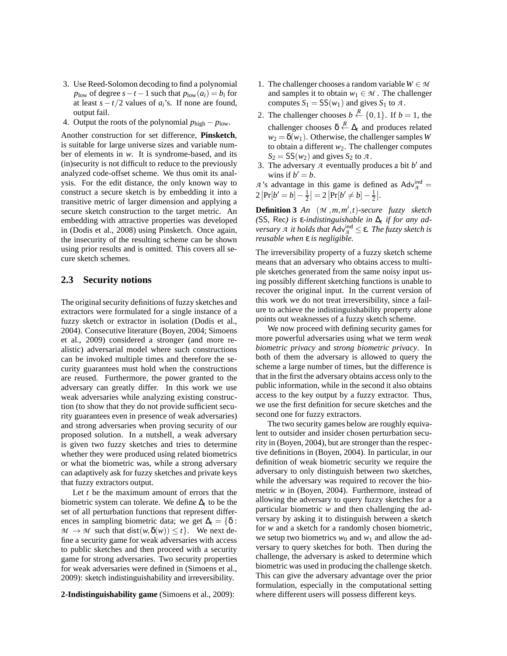- 3. Use Reed-Solomon decoding to find a polynomial  $p_{\text{low}}$  of degree  $s - t - 1$  such that  $p_{\text{low}}(a_i) = b_i$  for at least  $s - t/2$  values of  $a_i$ 's. If none are found, output fail.
- 4. Output the roots of the polynomial *p*high − *p*low.

Another construction for set difference, **Pinsketch**, is suitable for large universe sizes and variable number of elements in *w*. It is syndrome-based, and its (in)security is not difficult to reduce to the previously analyzed code-offset scheme. We thus omit its analysis. For the edit distance, the only known way to construct a secure sketch is by embedding it into a transitive metric of larger dimension and applying a secure sketch construction to the target metric. An embedding with attractive properties was developed in (Dodis et al., 2008) using Pinsketch. Once again, the insecurity of the resulting scheme can be shown using prior results and is omitted. This covers all secure sketch schemes.

#### **2.3 Security notions**

The original security definitions of fuzzy sketches and extractors were formulated for a single instance of a fuzzy sketch or extractor in isolation (Dodis et al., 2004). Consecutive literature (Boyen, 2004; Simoens et al., 2009) considered a stronger (and more realistic) adversarial model where such constructions can be invoked multiple times and therefore the security guarantees must hold when the constructions are reused. Furthermore, the power granted to the adversary can greatly differ. In this work we use weak adversaries while analyzing existing construction (to show that they do not provide sufficient security guarantees even in presence of weak adversaries) and strong adversaries when proving security of our proposed solution. In a nutshell, a weak adversary is given two fuzzy sketches and tries to determine whether they were produced using related biometrics or what the biometric was, while a strong adversary can adaptively ask for fuzzy sketches and private keys that fuzzy extractors output.

Let *t* be the maximum amount of errors that the biometric system can tolerate. We define  $\Delta_t$  to be the set of all perturbation functions that represent differences in sampling biometric data; we get  $\Delta_t = \{\delta :$  $M \to M$  such that dist $(w, \delta(w)) \leq t$ . We next define a security game for weak adversaries with access to public sketches and then proceed with a security game for strong adversaries. Two security properties for weak adversaries were defined in (Simoens et al., 2009): sketch indistinguishability and irreversibility.

#### **2-Indistinguishability game** (Simoens et al., 2009):

- 1. The challenger chooses a random variable  $W \in \mathcal{M}$ and samples it to obtain  $w_1 \in M$ . The challenger computes  $S_1 = SS(w_1)$  and gives  $S_1$  to  $A$ .
- 2. The challenger chooses  $b \stackrel{R}{\leftarrow} \{0,1\}$ . If  $b = 1$ , the challenger chooses  $\delta \stackrel{R}{\leftarrow} \Delta_t$  and produces related  $w_2 = \delta(w_1)$ . Otherwise, the challenger samples *W* to obtain a different  $w_2$ . The challenger computes  $S_2 = SS(w_2)$  and gives  $S_2$  to  $\mathcal{A}$ .
- 3. The adversary  $\overline{A}$  eventually produces a bit  $b'$  and wins if  $b' = b$ .

*A* 's advantage in this game is defined as  $\text{Adv}_{\mathcal{A}}^{\text{ind}}$  $2\left|\Pr[b'=b]-\frac{1}{2}\right|=2\left|\Pr[b'\neq b]-\frac{1}{2}\right|.$ 

**Definition 3** *An* (*M* ,*m*,*m* ′ ,*t*)*-secure fuzzy sketch (*SS*,* Rec*) is* ε*-indistinguishable in* ∆*<sup>t</sup> if for any ada it holds that* Adv<sup>ind</sup> ≤ ε. *The fuzzy sketch is reusable when* ε *is negligible.*

The irreversibility property of a fuzzy sketch scheme means that an adversary who obtains access to multiple sketches generated from the same noisy input using possibly different sketching functions is unable to recover the original input. In the current version of this work we do not treat irreversibility, since a failure to achieve the indistinguishability property alone points out weaknesses of a fuzzy sketch scheme.

We now proceed with defining security games for more powerful adversaries using what we term *weak biometric privacy* and *strong biometric privacy*. In both of them the adversary is allowed to query the scheme a large number of times, but the difference is that in the first the adversary obtains access only to the public information, while in the second it also obtains access to the key output by a fuzzy extractor. Thus, we use the first definition for secure sketches and the second one for fuzzy extractors.

The two security games below are roughly equivalent to outsider and insider chosen perturbation security in (Boyen, 2004), but are stronger than the respective definitions in (Boyen, 2004). In particular, in our definition of weak biometric security we require the adversary to only distinguish between two sketches, while the adversary was required to recover the biometric *w* in (Boyen, 2004). Furthermore, instead of allowing the adversary to query fuzzy sketches for a particular biometric *w* and then challenging the adversary by asking it to distinguish between a sketch for *w* and a sketch for a randomly chosen biometric, we setup two biometrics  $w_0$  and  $w_1$  and allow the adversary to query sketches for both. Then during the challenge, the adversary is asked to determine which biometric was used in producing the challenge sketch. This can give the adversary advantage over the prior formulation, especially in the computational setting where different users will possess different keys.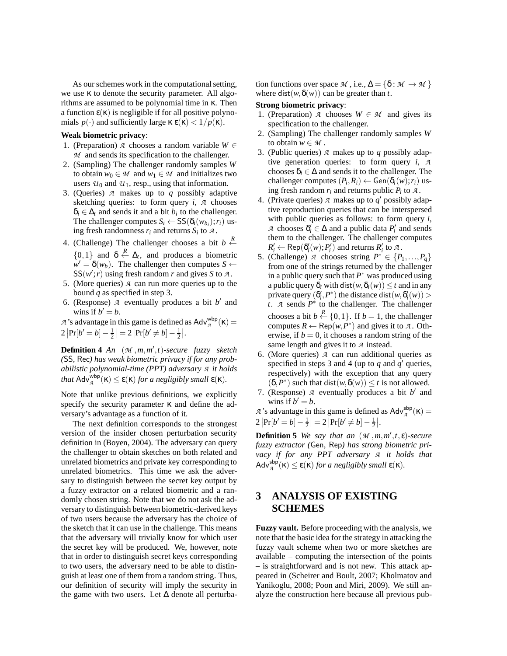As our schemes work in the computational setting, we use κ to denote the security parameter. All algorithms are assumed to be polynomial time in κ. Then a function  $\varepsilon(\kappa)$  is negligible if for all positive polynomials  $p(\cdot)$  and sufficiently large  $\kappa \varepsilon(\kappa) < 1/p(\kappa)$ .

#### **Weak biometric privacy**:

- 1. (Preparation) *A* chooses a random variable  $W \in$ *M* and sends its specification to the challenger.
- 2. (Sampling) The challenger randomly samples *W* to obtain  $w_0 \in M$  and  $w_1 \in M$  and initializes two users  $u_0$  and  $u_1$ , resp., using that information.
- 3. (Queries) *A* makes up to *q* possibly adaptive sketching queries: to form query *i*, *A* chooses  $\delta_i \in \Delta_t$  and sends it and a bit  $b_i$  to the challenger. The challenger computes  $S_i \leftarrow SS(\delta_i(w_{b_i}); r_i)$  using fresh randomness  $r_i$  and returns  $S_i$  to  $\mathcal{A}$ .
- 4. (Challenge) The challenger chooses a bit  $b \stackrel{R}{\leftarrow}$  $\{0,1\}$  and  $\delta \stackrel{R}{\leftarrow} \Delta_t$ , and produces a biometric  $w' = \delta(w_b)$ . The challenger then computes  $S \leftarrow$  $SS(w';r)$  using fresh random *r* and gives *S* to *A*.
- 5. (More queries) *A* can run more queries up to the bound *q* as specified in step 3.
- 6. (Response)  $\overline{A}$  eventually produces a bit  $b'$  and wins if  $b' = b$ .

*A*'s advantage in this game is defined as  $Adv_{\mathcal{A}}^{\text{wbp}}(\kappa)$  =  $2\left|\Pr[b'=b]-\frac{1}{2}\right|=2\left|\Pr[b'\neq b]-\frac{1}{2}\right|.$ 

**Definition 4** *An* (*M* ,*m*,*m* ′ ,*t*)*-secure fuzzy sketch (*SS*,* Rec*) has weak biometric privacy if for any probabilistic polynomial-time (PPT) adversary A it holds that*  $Adv_{\mathcal{A}}^{\text{wbp}}(\kappa) \leq \varepsilon(\kappa)$  *for a negligibly small*  $\varepsilon(\kappa)$ *.* 

Note that unlike previous definitions, we explicitly specify the security parameter  $\kappa$  and define the adversary's advantage as a function of it.

The next definition corresponds to the strongest version of the insider chosen perturbation security definition in (Boyen, 2004). The adversary can query the challenger to obtain sketches on both related and unrelated biometrics and private key corresponding to unrelated biometrics. This time we ask the adversary to distinguish between the secret key output by a fuzzy extractor on a related biometric and a randomly chosen string. Note that we do not ask the adversary to distinguish between biometric-derived keys of two users because the adversary has the choice of the sketch that it can use in the challenge. This means that the adversary will trivially know for which user the secret key will be produced. We, however, note that in order to distinguish secret keys corresponding to two users, the adversary need to be able to distinguish at least one of them from a random string. Thus, our definition of security will imply the security in the game with two users. Let  $\Delta$  denote all perturbation functions over space *M*, i.e.,  $\Delta = \{\delta : \mathcal{M} \to \mathcal{M}\}\$ where dist( $w, \delta(w)$ ) can be greater than *t*.

#### **Strong biometric privacy**:

- 1. (Preparation) *A* chooses  $W \in \mathcal{M}$  and gives its specification to the challenger.
- 2. (Sampling) The challenger randomly samples *W* to obtain  $w \in \mathcal{M}$ .
- 3. (Public queries) *A* makes up to *q* possibly adaptive generation queries: to form query *i*, *A* chooses  $\delta_i \in \Delta$  and sends it to the challenger. The challenger computes  $(P_i, R_i) \leftarrow$  Gen $(\delta_i(w); r_i)$  using fresh random  $r_i$  and returns public  $P_i$  to  $\overline{A}$ .
- 4. (Private queries)  $\overline{A}$  makes up to  $\overline{q}'$  possibly adaptive reproduction queries that can be interspersed with public queries as follows: to form query *i*, *A* chooses  $\delta_i' \in \Delta$  and a public data  $P_i'$  and sends them to the challenger. The challenger computes  $R'_i \leftarrow \text{Rep}(\delta'_i(w); P'_i)$  and returns  $R'_i$  to  $A$ .
- 5. (Challenge) *A* chooses string  $P^* \in \{P_1, ..., P_q\}$ from one of the strings returned by the challenger in a public query such that  $P^*$  was produced using a public query  $\delta_i$  with dist $(w, \delta_i(w)) \leq t$  and in any private query  $(\delta_i', P^*)$  the distance dist $(w, \delta_i'(w)) >$  $t$ . *A* sends  $P^*$  to the challenger. The challenger chooses a bit  $b \stackrel{R}{\leftarrow} \{0,1\}$ . If  $b = 1$ , the challenger computes  $R \leftarrow \text{Rep}(w, P^*)$  and gives it to *A*. Otherwise, if  $b = 0$ , it chooses a random string of the same length and gives it to *A* instead.
- 6. (More queries) *A* can run additional queries as specified in steps 3 and 4 (up to  $q$  and  $q'$  queries, respectively) with the exception that any query  $(\delta, P^*)$  such that dist $(w, \delta(w)) \leq t$  is not allowed.
- 7. (Response)  $\overline{A}$  eventually produces a bit  $b'$  and wins if  $b' = b$ .

*A*'s advantage in this game is defined as  $\text{Adv}_{\mathcal{A}}^{\text{sbp}}(\kappa) =$  $2\left|\Pr[b'=b]-\frac{1}{2}\right|=2\left|\Pr[b'\neq b]-\frac{1}{2}\right|.$ 

**Definition 5** *We say that an*  $(\mathcal{M}, m, m', t, \varepsilon)$ *-secure fuzzy extractor (*Gen*,* Rep*) has strong biometric privacy if for any PPT adversary A it holds that* Adv<sup>sbp</sup>( $\kappa$ )  $\leq \varepsilon(\kappa)$  *for a negligibly small*  $\varepsilon(\kappa)$ *.* 

## **3 ANALYSIS OF EXISTING SCHEMES**

**Fuzzy vault.** Before proceeding with the analysis, we note that the basic idea for the strategy in attacking the fuzzy vault scheme when two or more sketches are available – computing the intersection of the points – is straightforward and is not new. This attack appeared in (Scheirer and Boult, 2007; Kholmatov and Yanikoglu, 2008; Poon and Miri, 2009). We still analyze the construction here because all previous pub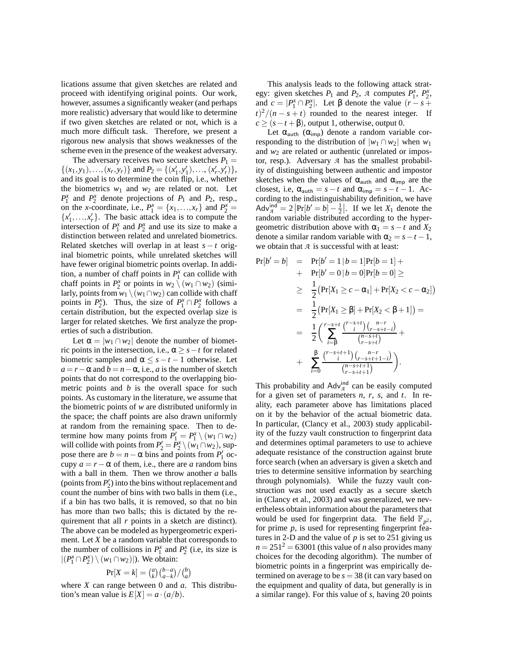lications assume that given sketches are related and proceed with identifying original points. Our work, however, assumes a significantly weaker (and perhaps more realistic) adversary that would like to determine if two given sketches are related or not, which is a much more difficult task. Therefore, we present a rigorous new analysis that shows weaknesses of the scheme even in the presence of the weakest adversary.

The adversary receives two secure sketches  $P_1$  =  $\{(x_1, y_1), \ldots, (x_r, y_r)\}$  and  $P_2 = \{(x'_1, y'_1), \ldots, (x'_r, y'_r)\},\$ and its goal is to determine the coin flip, i.e., whether the biometrics  $w_1$  and  $w_2$  are related or not. Let  $P_1^x$  and  $P_2^x$  denote projections of  $P_1$  and  $P_2$ , resp., on the *x*-coordinate, i.e.,  $P_1^x = \{x_1, \ldots, x_r\}$  and  $P_2^x =$  ${x'_1, \ldots, x'_r}$ . The basic attack idea is to compute the intersection of  $P_1^x$  and  $P_2^x$  and use its size to make a distinction between related and unrelated biometrics. Related sketches will overlap in at least  $s - t$  original biometric points, while unrelated sketches will have fewer original biometric points overlap. In addition, a number of chaff points in  $P_1^x$  can collide with chaff points in  $P_2^x$  or points in  $w_2 \setminus (w_1 \cap w_2)$  (similarly, points from  $w_1 \setminus (w_1 \cap w_2)$  can collide with chaff points in  $P_2^x$ ). Thus, the size of  $P_1^x \cap P_2^x$  follows a certain distribution, but the expected overlap size is larger for related sketches. We first analyze the properties of such a distribution.

Let  $\alpha = |w_1 \cap w_2|$  denote the number of biometric points in the intersection, i.e.,  $\alpha \geq s - t$  for related biometric samples and  $\alpha \leq s - t - 1$  otherwise. Let  $a = r - \alpha$  and  $b = n - \alpha$ , i.e., *a* is the number of sketch points that do not correspond to the overlapping biometric points and *b* is the overall space for such points. As customary in the literature, we assume that the biometric points of *w* are distributed uniformly in the space; the chaff points are also drawn uniformly at random from the remaining space. Then to determine how many points from  $P'_1 = P_1^x \setminus (w_1 \cap w_2)$ will collide with points from  $P'_2 = P_2^x \setminus (w_1 \cap w_2)$ , suppose there are  $b = n - \alpha$  bins and points from  $P'_1$  occupy  $a = r - \alpha$  of them, i.e., there are *a* random bins with a ball in them. Then we throw another *a* balls (points from  $P'_2$ ) into the bins without replacement and count the number of bins with two balls in them (i.e., if a bin has two balls, it is removed, so that no bin has more than two balls; this is dictated by the requirement that all *r* points in a sketch are distinct). The above can be modeled as hypergeometric experiment. Let *X* be a random variable that corresponds to the number of collisions in  $P_1^x$  and  $P_2^x$  (i.e., its size is  $|(P_1^x \cap P_2^x) \setminus (w_1 \cap w_2)|$ ). We obtain:

$$
\Pr[X = k] = \binom{a}{k} \binom{b-a}{a-k} / \binom{b}{a}
$$

where *X* can range between 0 and *a*. This distribution's mean value is  $E[X] = a \cdot (a/b)$ .

This analysis leads to the following attack strategy: given sketches  $P_1$  and  $P_2$ ,  $\mathcal{A}$  computes  $P_1^x$ ,  $P_2^x$ , and  $c = |P_1^x \cap P_2^x|$ . Let  $\beta$  denote the value  $(r - s + t)$  $(t)^2/(n-s+t)$  rounded to the nearest integer. If  $c \ge (s - t + \beta)$ , output 1, otherwise, output 0.

Let  $\alpha_{\text{auth}}$  ( $\alpha_{\text{imp}}$ ) denote a random variable corresponding to the distribution of  $|w_1 \cap w_2|$  when  $w_1$ and  $w_2$  are related or authentic (unrelated or impostor, resp.). Adversary *A* has the smallest probability of distinguishing between authentic and impostor sketches when the values of  $\alpha_{\text{auth}}$  and  $\alpha_{\text{imp}}$  are the closest, i.e,  $\alpha_{\text{auth}} = s - t$  and  $\alpha_{\text{imp}} = s - t - 1$ . According to the indistinguishability definition, we have  $\text{Adv}_{A}^{\text{ind}} = 2 \left| \text{Pr}[b' = b] - \frac{1}{2} \right|$ . If we let *X*<sub>1</sub> denote the random variable distributed according to the hypergeometric distribution above with  $\alpha_1 = s - t$  and  $X_2$ denote a similar random variable with  $\alpha_2 = s - t - 1$ , we obtain that *A* is successful with at least:

$$
Pr[b' = b] = Pr[b' = 1 | b = 1]Pr[b = 1] +
$$
  
+ 
$$
Pr[b' = 0 | b = 0]Pr[b = 0] \ge
$$
  

$$
\geq \frac{1}{2} (Pr[X_1 \geq c - \alpha_1] + Pr[X_2 < c - \alpha_2])
$$
  
= 
$$
\frac{1}{2} (Pr[X_1 \geq \beta] + Pr[X_2 < \beta + 1]) =
$$
  
= 
$$
\frac{1}{2} \Big( \sum_{i=0}^{r-s+t} \frac{\binom{r-s+t}{i} \binom{n-r}{r-s+t}}{\binom{n-s+t}{r-s+t}} +
$$
  
+ 
$$
\sum_{i=0}^{B} \frac{\binom{r-s+t+1}{i} \binom{n-r}{r-s+t+1}}{\binom{n-s+t+1}{r-s+t+1}} \Big).
$$

This probability and  $\text{Adv}_{\mathcal{A}}^{\text{ind}}$  can be easily computed for a given set of parameters *n*, *r*, *s*, and *t*. In reality, each parameter above has limitations placed on it by the behavior of the actual biometric data. In particular, (Clancy et al., 2003) study applicability of the fuzzy vault construction to fingerprint data and determines optimal parameters to use to achieve adequate resistance of the construction against brute force search (when an adversary is given a sketch and tries to determine sensitive information by searching through polynomials). While the fuzzy vault construction was not used exactly as a secure sketch in (Clancy et al., 2003) and was generalized, we nevertheless obtain information about the parameters that would be used for fingerprint data. The field  $\mathbb{F}_{p^2}$ , for prime *p*, is used for representing fingerprint features in 2-D and the value of  $p$  is set to 251 giving us  $n = 251<sup>2</sup> = 63001$  (this value of *n* also provides many choices for the decoding algorithm). The number of biometric points in a fingerprint was empirically determined on average to be  $s = 38$  (it can vary based on the equipment and quality of data, but generally is in a similar range). For this value of *s*, having 20 points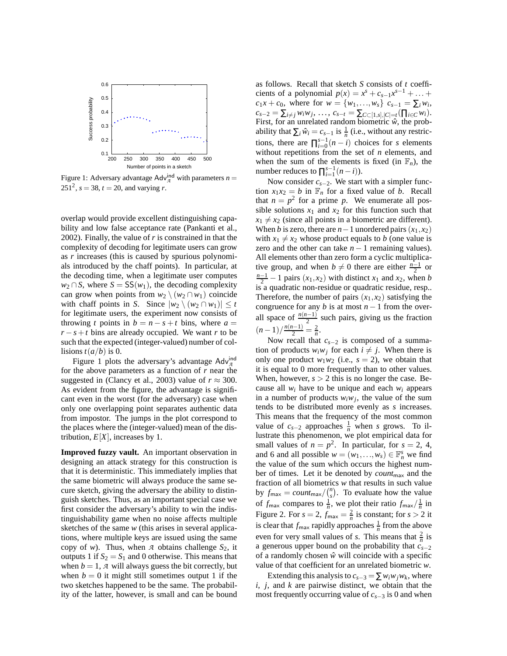

Figure 1: Adversary advantage  $\text{Adv}_{\mathcal{A}}^{\text{ind}}$  with parameters  $n =$ 251<sup>2</sup>,  $s = 38$ ,  $t = 20$ , and varying *r*.

overlap would provide excellent distinguishing capability and low false acceptance rate (Pankanti et al., 2002). Finally, the value of *r* is constrained in that the complexity of decoding for legitimate users can grow as *r* increases (this is caused by spurious polynomials introduced by the chaff points). In particular, at the decoding time, when a legitimate user computes  $w_2 \cap S$ , where  $S = SS(w_1)$ , the decoding complexity can grow when points from  $w_2 \setminus (w_2 \cap w_1)$  coincide with chaff points in *S*. Since  $|w_2 \setminus (w_2 \cap w_1)| \leq t$ for legitimate users, the experiment now consists of throwing *t* points in  $b = n - s + t$  bins, where  $a =$  $r - s + t$  bins are already occupied. We want *r* to be such that the expected (integer-valued) number of collisions  $t(a/b)$  is 0.

Figure 1 plots the adversary's advantage  $\text{Adv}_{\mathcal{A}}^{\text{ind}}$ for the above parameters as a function of *r* near the suggested in (Clancy et al., 2003) value of  $r \approx 300$ . As evident from the figure, the advantage is significant even in the worst (for the adversary) case when only one overlapping point separates authentic data from impostor. The jumps in the plot correspond to the places where the (integer-valued) mean of the distribution,  $E[X]$ , increases by 1.

**Improved fuzzy vault.** An important observation in designing an attack strategy for this construction is that it is deterministic. This immediately implies that the same biometric will always produce the same secure sketch, giving the adversary the ability to distinguish sketches. Thus, as an important special case we first consider the adversary's ability to win the indistinguishability game when no noise affects multiple sketches of the same *w* (this arises in several applications, where multiple keys are issued using the same copy of *w*). Thus, when *A* obtains challenge  $S_2$ , it outputs 1 if  $S_2 = S_1$  and 0 otherwise. This means that when  $b = 1$ , *A* will always guess the bit correctly, but when  $b = 0$  it might still sometimes output 1 if the two sketches happened to be the same. The probability of the latter, however, is small and can be bound as follows. Recall that sketch *S* consists of *t* coefficients of a polynomial  $p(x) = x^s + c_{s-1}x^{s-1} + ...$  $c_1x + c_0$ , where for  $w = \{w_1, \ldots, w_s\}$   $c_{s-1} = \sum_i w_i$ ,  $c_{s-2} = \sum_{i \neq j} w_i w_j, \ldots, c_{s-t} = \sum_{C \subset [1,s],|C|=t} (\prod_{i \in C} w_i).$ First, for an unrelated random biometric  $\hat{w}$ , the probability that  $\sum_i \hat{w}_i = c_{s-1}$  is  $\frac{1}{n}$  (i.e., without any restrictions, there are  $\prod_{i=0}^{s-1} (n-i)$  choices for *s* elements without repetitions from the set of *n* elements, and when the sum of the elements is fixed (in  $\mathbb{F}_n$ ), the number reduces to  $\prod_{i=1}^{s-1} (n-i)$ ).

Now consider *cs*−2. We start with a simpler function  $x_1x_2 = b$  in  $\mathbb{F}_n$  for a fixed value of *b*. Recall that  $n = p^2$  for a prime p. We enumerate all possible solutions  $x_1$  and  $x_2$  for this function such that  $x_1 \neq x_2$  (since all points in a biometric are different). When *b* is zero, there are *n* − 1 unordered pairs  $(x_1, x_2)$ with  $x_1 \neq x_2$  whose product equals to *b* (one value is zero and the other can take  $n - 1$  remaining values). All elements other than zero form a cyclic multiplicative group, and when  $b \neq 0$  there are either  $\frac{n-1}{2}$  or  $\frac{n-1}{2}$  − 1 pairs  $(x_1, x_2)$  with distinct *x*<sub>1</sub> and *x*<sub>2</sub>, when *b* is a quadratic non-residue or quadratic residue, resp.. Therefore, the number of pairs  $(x_1, x_2)$  satisfying the congruence for any *b* is at most  $n - 1$  from the overall space of  $\frac{n(n-1)}{2}$  such pairs, giving us the fraction  $\frac{n(n-1)}{2} = \frac{2}{n}$ .

Now recall that *cs*−<sup>2</sup> is composed of a summation of products  $w_i w_j$  for each  $i \neq j$ . When there is only one product  $w_1w_2$  (i.e.,  $s = 2$ ), we obtain that it is equal to 0 more frequently than to other values. When, however,  $s > 2$  this is no longer the case. Because all  $w_i$  have to be unique and each  $w_i$  appears in a number of products  $w_i w_j$ , the value of the sum tends to be distributed more evenly as *s* increases. This means that the frequency of the most common value of  $c_{s-2}$  approaches  $\frac{1}{n}$  when *s* grows. To illustrate this phenomenon, we plot empirical data for small values of  $n = p^2$ . In particular, for  $s = 2, 4$ , and 6 and all possible  $w = (w_1, \ldots, w_s) \in \mathbb{F}_n^s$  we find the value of the sum which occurs the highest number of times. Let it be denoted by *count*max and the fraction of all biometrics *w* that results in such value by  $f_{\text{max}} = count_{\text{max}} / {n \choose s}$ . To evaluate how the value of  $f_{\text{max}}$  compares to  $\frac{1}{n}$ , we plot their ratio  $f_{\text{max}}/\frac{1}{n}$  in Figure 2. For  $s = 2$ ,  $f_{\text{max}} = \frac{2}{n}$  is constant; for  $s > 2$  it is clear that  $f_{\text{max}}$  rapidly approaches  $\frac{1}{n}$  from the above even for very small values of *s*. This means that  $\frac{2}{n}$  is a generous upper bound on the probability that *cs*−<sup>2</sup> of a randomly chosen  $\hat{w}$  will coincide with a specific value of that coefficient for an unrelated biometric *w*.

Extending this analysis to  $c_{s-3} = \sum w_i w_j w_k$ , where *i*, *j*, and *k* are pairwise distinct, we obtain that the most frequently occurring value of *cs*−<sup>3</sup> is 0 and when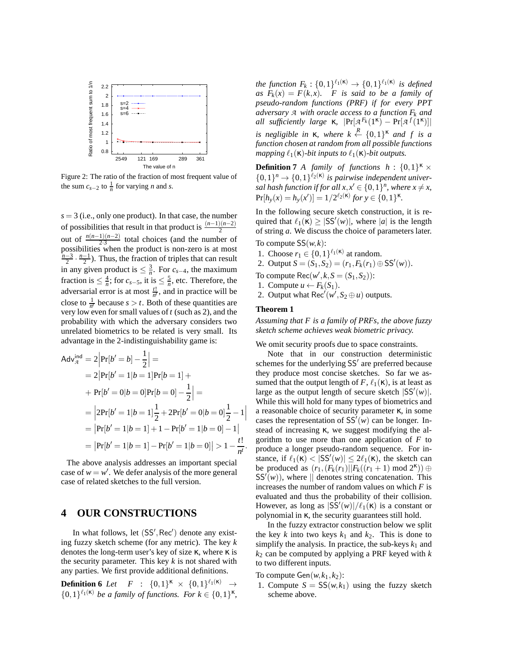

Figure 2: The ratio of the fraction of most frequent value of the sum  $c_{s-2}$  to  $\frac{1}{n}$  for varying *n* and *s*.

 $s = 3$  (i.e., only one product). In that case, the number of possibilities that result in that product is  $\frac{(n-1)(n-2)}{2}$ out of  $\frac{n(n-1)(n-2)}{2\cdot 3}$  total choices (and the number of possibilities when the product is non-zero is at most  $\frac{n-3}{2} \cdot \frac{n-1}{2}$ ). Thus, the fraction of triples that can result in any given product is  $\leq \frac{3}{n}$ . For *c*<sub>*s*−4</sub>, the maximum fraction is  $\leq \frac{4}{n}$ ; for  $c_{s-5}$ , it is  $\leq \frac{5}{n}$ , etc. Therefore, the adversarial error is at most  $\frac{t!}{n^t}$ , and in practice will be close to  $\frac{1}{n^t}$  because  $s > t$ . Both of these quantities are very low even for small values of *t* (such as 2), and the probability with which the adversary considers two unrelated biometrics to be related is very small. Its advantage in the 2-indistinguishability game is:

$$
Adv_{\mathcal{A}}^{\text{ind}} = 2 \left| Pr[b' = b] - \frac{1}{2} \right| =
$$
  
= 2 \left| Pr[b' = 1 | b = 1] Pr[b = 1] +  
+ Pr[b' = 0 | b = 0] Pr[b = 0] - \frac{1}{2} \right| =  
= \left| 2Pr[b' = 1 | b = 1] \frac{1}{2} + 2Pr[b' = 0 | b = 0] \frac{1}{2} - 1 \right|  
= \left| Pr[b' = 1 | b = 1] + 1 - Pr[b' = 1 | b = 0] - 1 \right|  
= \left| Pr[b' = 1 | b = 1] - Pr[b' = 1 | b = 0] \right| > 1 - \frac{t!}{n!}.

The above analysis addresses an important special case of  $w = w'$ . We defer analysis of the more general case of related sketches to the full version.

## **4 OUR CONSTRUCTIONS**

In what follows, let (SS', Rec') denote any existing fuzzy sketch scheme (for any metric). The key *k* denotes the long-term user's key of size  $\kappa$ , where  $\kappa$  is the security parameter. This key *k* is not shared with any parties. We first provide additional definitions.

**Definition 6** *Let*  $F : \{0,1\}^{\kappa} \times \{0,1\}^{\ell_1(\kappa)} \rightarrow$  $\{0,1\}^{\ell_1(\kappa)}$  *be a family of functions. For*  $k \in \{0,1\}^{\kappa}$ ,

*the function*  $F_k: \{0,1\}^{\ell_1(\kappa)} \to \{0,1\}^{\ell_1(\kappa)}$  *is defined as*  $F_k(x) = F(k, x)$ *. F is said to be a family of pseudo-random functions (PRF) if for every PPT adversary A with oracle access to a function F<sup>k</sup> and all sufficiently large* κ,  $|Pr[A^{F_k}(1^k) - Pr[A^{f}(1^k)]|$ *is negligible in* **K**, where  $k \leftarrow \{0,1\}^{\kappa}$  and f is a *function chosen at random from all possible functions mapping*  $\ell_1(\kappa)$ *-bit inputs to*  $\ell_1(\kappa)$ *-bit outputs.* 

**Definition 7** *A* family of functions  $h: \{0,1\}^K$  ×  $\{0,1\}^n \rightarrow \{0,1\}^{\ell_2(\kappa)}$  is pairwise independent univer*sal hash function if for all*  $x, x' \in \{0, 1\}^n$ , where  $x \neq x$ ,  $Pr[h_y(x) = h_y(x')] = 1/2^{\ell_2(\kappa)}$  for  $y \in \{0, 1\}^{\kappa}$ *.* 

In the following secure sketch construction, it is required that  $\ell_1(\mathbf{k}) \geq |SS'(w)|$ , where |a| is the length of string *a*. We discuss the choice of parameters later.

To compute  $SS(w, k)$ :

- 1. Choose  $r_1 \in \{0,1\}^{\ell_1(\kappa)}$  at random.
- 2. Output  $S = (\tilde{S}_1, \tilde{S}_2) = (r_1, F_k(r_1) \oplus \tilde{S}'(w)).$
- To compute  $\text{Rec}(w', k, S = (S_1, S_2))$ :
- 1. Compute  $u \leftarrow F_k(S_1)$ .
- 2. Output what Rec<sup> $\ell$ </sup> $(w^{\ell}, S_2 \oplus u)$  outputs.

#### **Theorem 1**

*Assuming that F is a family of PRFs, the above fuzzy sketch scheme achieves weak biometric privacy.*

We omit security proofs due to space constraints.

Note that in our construction deterministic schemes for the underlying SS′ are preferred because they produce most concise sketches. So far we assumed that the output length of *F*,  $\ell_1(\kappa)$ , is at least as large as the output length of secure sketch  $|SS'(w)|$ . While this will hold for many types of biometrics and a reasonable choice of security parameter κ, in some cases the representation of  $SS'(w)$  can be longer. Instead of increasing κ, we suggest modifying the algorithm to use more than one application of *F* to produce a longer pseudo-random sequence. For instance, if  $\ell_1(\kappa) < |SS'(w)| \leq 2\ell_1(\kappa)$ , the sketch can be produced as  $(r_1, (F_k(r_1)||F_k((r_1+1) \text{ mod } 2^k)) \oplus$  $SS'(\hat{w})$ , where  $\|\$  denotes string concatenation. This increases the number of random values on which *F* is evaluated and thus the probability of their collision. However, as long as  $|S\tilde{S}'(w)|/\ell_1(\kappa)$  is a constant or polynomial in κ, the security guarantees still hold.

In the fuzzy extractor construction below we split the key  $k$  into two keys  $k_1$  and  $k_2$ . This is done to simplify the analysis. In practice, the sub-keys  $k_1$  and *k*<sup>2</sup> can be computed by applying a PRF keyed with *k* to two different inputs.

To compute  $Gen(w, k_1, k_2)$ :

1. Compute  $S = SS(w, k_1)$  using the fuzzy sketch scheme above.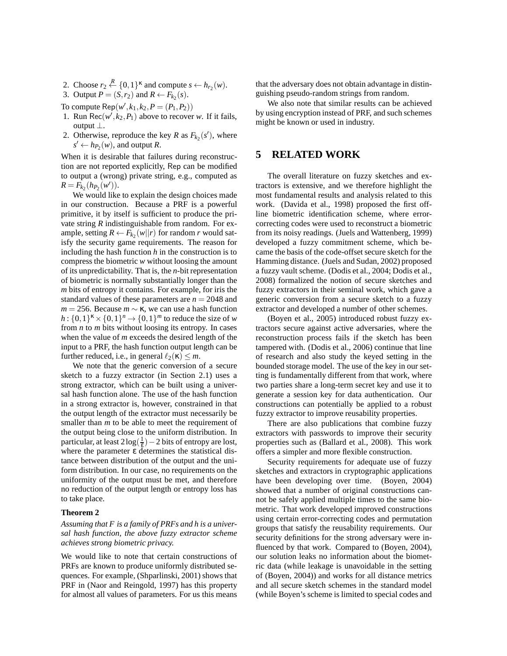- 2. Choose  $r_2 \stackrel{R}{\leftarrow} \{0,1\}^{\kappa}$  and compute  $s \leftarrow h_{r_2}(w)$ .
- 3. Output  $P = (S, r_2)$  and  $R \leftarrow F_{k_2}(s)$ .
- To compute  $\text{Rep}(w', k_1, k_2, P = (P_1, P_2))$
- 1. Run Rec( $w', k_2, P_1$ ) above to recover *w*. If it fails, output  $\perp$ .
- 2. Otherwise, reproduce the key *R* as  $F_{k_2}(s')$ , where  $s' \leftarrow h_{P_2}(w)$ , and output *R*.

When it is desirable that failures during reconstruction are not reported explicitly, Rep can be modified to output a (wrong) private string, e.g., computed as  $R = F_{k_2}(h_{P_2}(w'))$ .

We would like to explain the design choices made in our construction. Because a PRF is a powerful primitive, it by itself is sufficient to produce the private string *R* indistinguishable from random. For example, setting  $R \leftarrow F_{k_2}(w||r)$  for random *r* would satisfy the security game requirements. The reason for including the hash function *h* in the construction is to compress the biometric *w* without loosing the amount of its unpredictability. That is, the *n*-bit representation of biometric is normally substantially longer than the *m* bits of entropy it contains. For example, for iris the standard values of these parameters are  $n = 2048$  and  $m = 256$ . Because  $m \sim \kappa$ , we can use a hash function  $h: \{0,1\}^n \times \{0,1\}^n \to \{0,1\}^m$  to reduce the size of *w* from *n* to *m* bits without loosing its entropy. In cases when the value of *m* exceeds the desired length of the input to a PRF, the hash function output length can be further reduced, i.e., in general  $\ell_2(\kappa) \leq m$ .

We note that the generic conversion of a secure sketch to a fuzzy extractor (in Section 2.1) uses a strong extractor, which can be built using a universal hash function alone. The use of the hash function in a strong extractor is, however, constrained in that the output length of the extractor must necessarily be smaller than *m* to be able to meet the requirement of the output being close to the uniform distribution. In particular, at least  $2\log(\frac{1}{\epsilon})-2$  bits of entropy are lost, where the parameter  $\varepsilon$  determines the statistical distance between distribution of the output and the uniform distribution. In our case, no requirements on the uniformity of the output must be met, and therefore no reduction of the output length or entropy loss has to take place.

#### **Theorem 2**

#### *Assuming that F is a family of PRFs and h is a universal hash function, the above fuzzy extractor scheme achieves strong biometric privacy.*

We would like to note that certain constructions of PRFs are known to produce uniformly distributed sequences. For example, (Shparlinski, 2001) shows that PRF in (Naor and Reingold, 1997) has this property for almost all values of parameters. For us this means

that the adversary does not obtain advantage in distinguishing pseudo-random strings from random.

We also note that similar results can be achieved by using encryption instead of PRF, and such schemes might be known or used in industry.

### **5 RELATED WORK**

The overall literature on fuzzy sketches and extractors is extensive, and we therefore highlight the most fundamental results and analysis related to this work. (Davida et al., 1998) proposed the first offline biometric identification scheme, where errorcorrecting codes were used to reconstruct a biometric from its noisy readings. (Juels and Wattenberg, 1999) developed a fuzzy commitment scheme, which became the basis of the code-offset secure sketch for the Hamming distance. (Juels and Sudan, 2002) proposed a fuzzy vault scheme. (Dodis et al., 2004; Dodis et al., 2008) formalized the notion of secure sketches and fuzzy extractors in their seminal work, which gave a generic conversion from a secure sketch to a fuzzy extractor and developed a number of other schemes.

(Boyen et al., 2005) introduced robust fuzzy extractors secure against active adversaries, where the reconstruction process fails if the sketch has been tampered with. (Dodis et al., 2006) continue that line of research and also study the keyed setting in the bounded storage model. The use of the key in our setting is fundamentally different from that work, where two parties share a long-term secret key and use it to generate a session key for data authentication. Our constructions can potentially be applied to a robust fuzzy extractor to improve reusability properties.

There are also publications that combine fuzzy extractors with passwords to improve their security properties such as (Ballard et al., 2008). This work offers a simpler and more flexible construction.

Security requirements for adequate use of fuzzy sketches and extractors in cryptographic applications have been developing over time. (Boyen, 2004) showed that a number of original constructions cannot be safely applied multiple times to the same biometric. That work developed improved constructions using certain error-correcting codes and permutation groups that satisfy the reusability requirements. Our security definitions for the strong adversary were influenced by that work. Compared to (Boyen, 2004), our solution leaks no information about the biometric data (while leakage is unavoidable in the setting of (Boyen, 2004)) and works for all distance metrics and all secure sketch schemes in the standard model (while Boyen's scheme is limited to special codes and